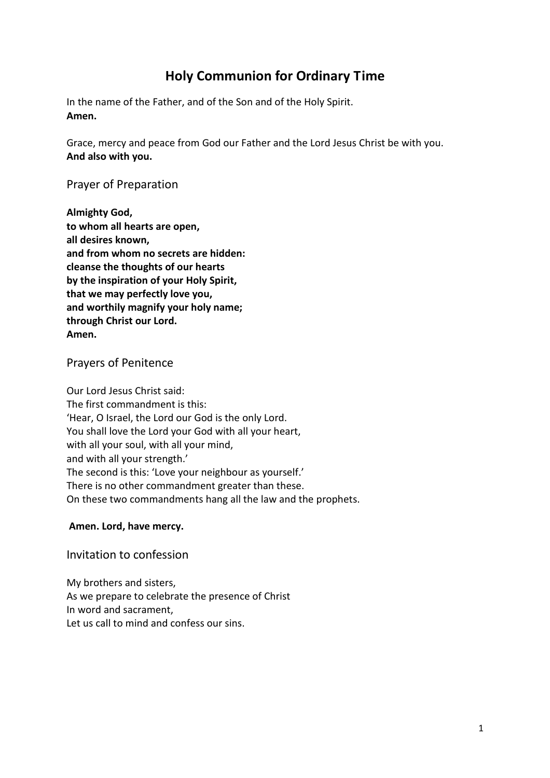# **Holy Communion for Ordinary Time**

In the name of the Father, and of the Son and of the Holy Spirit. **Amen.** 

Grace, mercy and peace from God our Father and the Lord Jesus Christ be with you. **And also with you.** 

Prayer of Preparation

**Almighty God, to whom all hearts are open, all desires known, and from whom no secrets are hidden: cleanse the thoughts of our hearts by the inspiration of your Holy Spirit, that we may perfectly love you, and worthily magnify your holy name; through Christ our Lord. Amen.** 

Prayers of Penitence

Our Lord Jesus Christ said: The first commandment is this: 'Hear, O Israel, the Lord our God is the only Lord. You shall love the Lord your God with all your heart, with all your soul, with all your mind, and with all your strength.' The second is this: 'Love your neighbour as yourself.' There is no other commandment greater than these. On these two commandments hang all the law and the prophets.

#### **Amen. Lord, have mercy.**

Invitation to confession

My brothers and sisters, As we prepare to celebrate the presence of Christ In word and sacrament, Let us call to mind and confess our sins.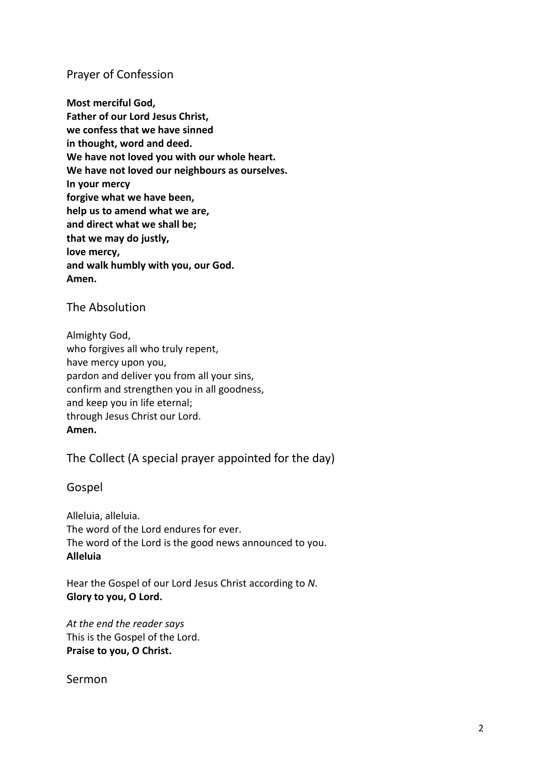### Prayer of Confession

**Most merciful God, Father of our Lord Jesus Christ, we confess that we have sinned in thought, word and deed. We have not loved you with our whole heart. We have not loved our neighbours as ourselves. In your mercy forgive what we have been, help us to amend what we are, and direct what we shall be; that we may do justly, love mercy, and walk humbly with you, our God. Amen.** 

The Absolution

Almighty God, who forgives all who truly repent, have mercy upon you, pardon and deliver you from all your sins, confirm and strengthen you in all goodness, and keep you in life eternal; through Jesus Christ our Lord. **Amen.** 

The Collect (A special prayer appointed for the day)

Gospel

Alleluia, alleluia. The word of the Lord endures for ever. The word of the Lord is the good news announced to you. **Alleluia** 

Hear the Gospel of our Lord Jesus Christ according to *N*. **Glory to you, O Lord.** 

*At the end the reader says*  This is the Gospel of the Lord. **Praise to you, O Christ.** 

Sermon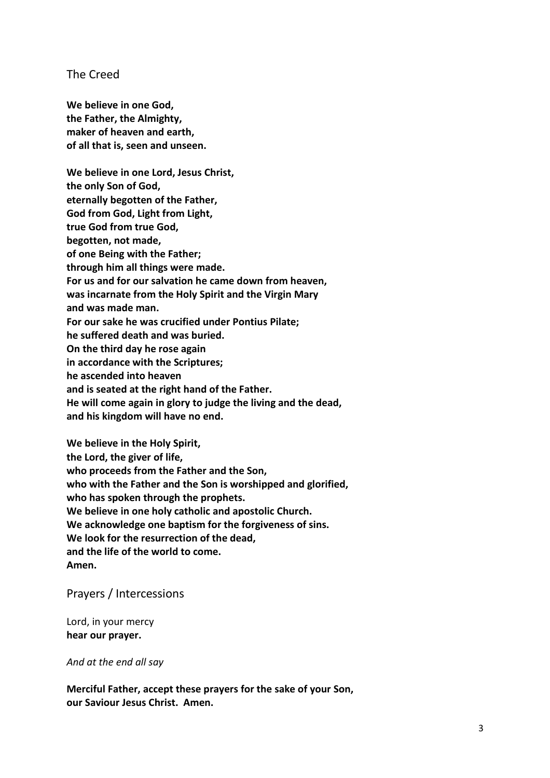The Creed

**We believe in one God, the Father, the Almighty, maker of heaven and earth, of all that is, seen and unseen.** 

**We believe in one Lord, Jesus Christ, the only Son of God, eternally begotten of the Father, God from God, Light from Light, true God from true God, begotten, not made, of one Being with the Father; through him all things were made. For us and for our salvation he came down from heaven, was incarnate from the Holy Spirit and the Virgin Mary and was made man. For our sake he was crucified under Pontius Pilate; he suffered death and was buried. On the third day he rose again in accordance with the Scriptures; he ascended into heaven and is seated at the right hand of the Father. He will come again in glory to judge the living and the dead, and his kingdom will have no end.** 

**We believe in the Holy Spirit, the Lord, the giver of life, who proceeds from the Father and the Son, who with the Father and the Son is worshipped and glorified, who has spoken through the prophets. We believe in one holy catholic and apostolic Church. We acknowledge one baptism for the forgiveness of sins. We look for the resurrection of the dead, and the life of the world to come. Amen.** 

Prayers / Intercessions

Lord, in your mercy **hear our prayer.** 

*And at the end all say* 

**Merciful Father, accept these prayers for the sake of your Son, our Saviour Jesus Christ. Amen.**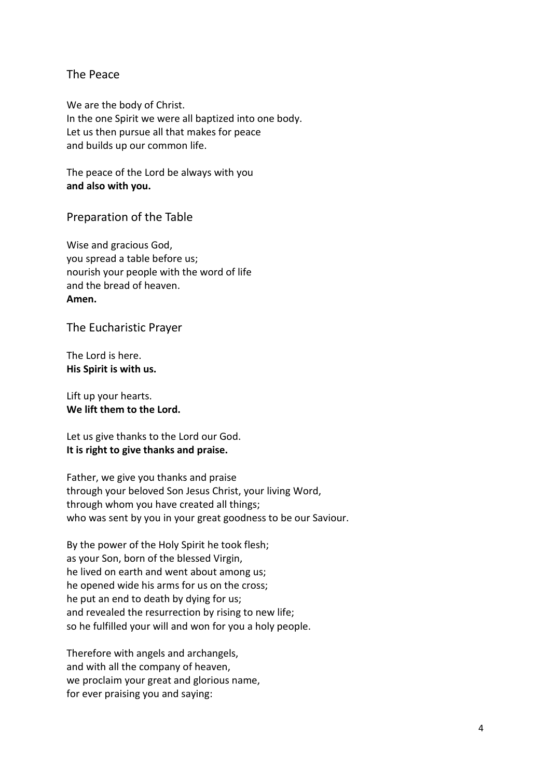#### The Peace

We are the body of Christ. In the one Spirit we were all baptized into one body. Let us then pursue all that makes for peace and builds up our common life.

The peace of the Lord be always with you **and also with you.** 

Preparation of the Table

Wise and gracious God, you spread a table before us; nourish your people with the word of life and the bread of heaven. **Amen.** 

The Eucharistic Prayer

The Lord is here. **His Spirit is with us.** 

Lift up your hearts. **We lift them to the Lord.** 

Let us give thanks to the Lord our God. **It is right to give thanks and praise.** 

Father, we give you thanks and praise through your beloved Son Jesus Christ, your living Word, through whom you have created all things; who was sent by you in your great goodness to be our Saviour.

By the power of the Holy Spirit he took flesh; as your Son, born of the blessed Virgin, he lived on earth and went about among us; he opened wide his arms for us on the cross; he put an end to death by dying for us; and revealed the resurrection by rising to new life; so he fulfilled your will and won for you a holy people.

Therefore with angels and archangels, and with all the company of heaven, we proclaim your great and glorious name, for ever praising you and saying: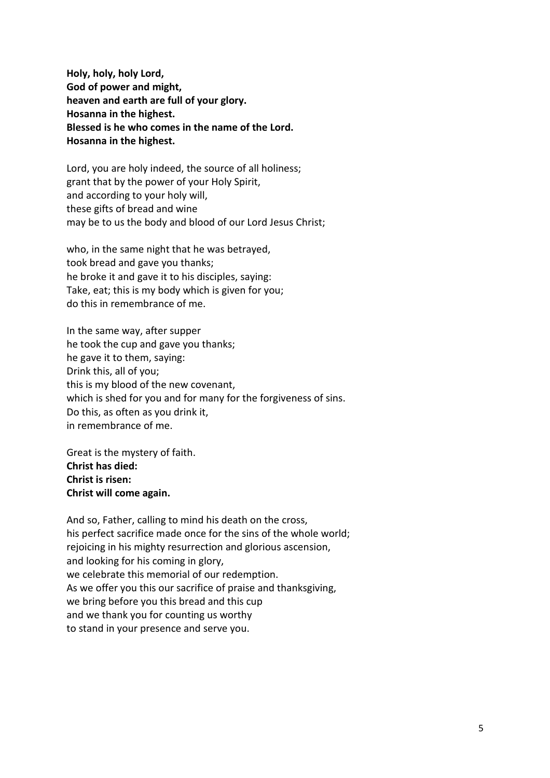**Holy, holy, holy Lord, God of power and might, heaven and earth are full of your glory. Hosanna in the highest. Blessed is he who comes in the name of the Lord. Hosanna in the highest.** 

Lord, you are holy indeed, the source of all holiness; grant that by the power of your Holy Spirit, and according to your holy will, these gifts of bread and wine may be to us the body and blood of our Lord Jesus Christ;

who, in the same night that he was betrayed, took bread and gave you thanks; he broke it and gave it to his disciples, saying: Take, eat; this is my body which is given for you; do this in remembrance of me.

In the same way, after supper he took the cup and gave you thanks; he gave it to them, saying: Drink this, all of you; this is my blood of the new covenant, which is shed for you and for many for the forgiveness of sins. Do this, as often as you drink it, in remembrance of me.

Great is the mystery of faith. **Christ has died: Christ is risen: Christ will come again.** 

And so, Father, calling to mind his death on the cross, his perfect sacrifice made once for the sins of the whole world; rejoicing in his mighty resurrection and glorious ascension, and looking for his coming in glory, we celebrate this memorial of our redemption. As we offer you this our sacrifice of praise and thanksgiving, we bring before you this bread and this cup and we thank you for counting us worthy to stand in your presence and serve you.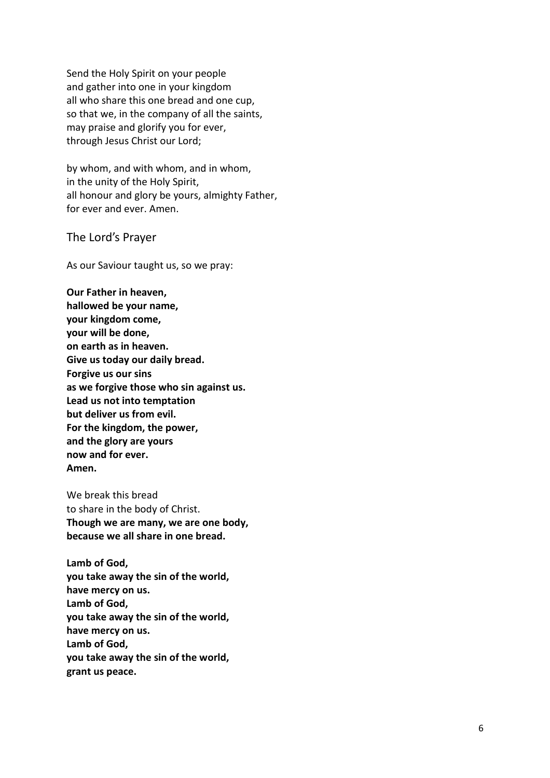Send the Holy Spirit on your people and gather into one in your kingdom all who share this one bread and one cup, so that we, in the company of all the saints, may praise and glorify you for ever, through Jesus Christ our Lord;

by whom, and with whom, and in whom, in the unity of the Holy Spirit, all honour and glory be yours, almighty Father, for ever and ever. Amen.

The Lord's Prayer

As our Saviour taught us, so we pray:

**Our Father in heaven, hallowed be your name, your kingdom come, your will be done, on earth as in heaven. Give us today our daily bread. Forgive us our sins as we forgive those who sin against us. Lead us not into temptation but deliver us from evil. For the kingdom, the power, and the glory are yours now and for ever. Amen.** 

We break this bread to share in the body of Christ. **Though we are many, we are one body, because we all share in one bread.** 

**Lamb of God, you take away the sin of the world, have mercy on us. Lamb of God, you take away the sin of the world, have mercy on us. Lamb of God, you take away the sin of the world, grant us peace.**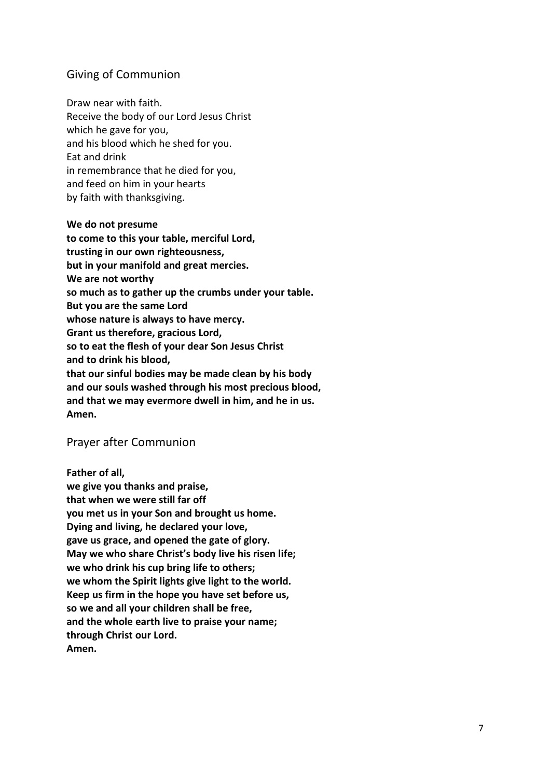### Giving of Communion

Draw near with faith. Receive the body of our Lord Jesus Christ which he gave for you, and his blood which he shed for you. Eat and drink in remembrance that he died for you, and feed on him in your hearts by faith with thanksgiving.

#### **We do not presume**

**to come to this your table, merciful Lord, trusting in our own righteousness, but in your manifold and great mercies. We are not worthy so much as to gather up the crumbs under your table. But you are the same Lord whose nature is always to have mercy. Grant us therefore, gracious Lord, so to eat the flesh of your dear Son Jesus Christ and to drink his blood, that our sinful bodies may be made clean by his body and our souls washed through his most precious blood, and that we may evermore dwell in him, and he in us. Amen.** 

#### Prayer after Communion

**Father of all, we give you thanks and praise, that when we were still far off you met us in your Son and brought us home. Dying and living, he declared your love, gave us grace, and opened the gate of glory. May we who share Christ's body live his risen life; we who drink his cup bring life to others; we whom the Spirit lights give light to the world. Keep us firm in the hope you have set before us, so we and all your children shall be free, and the whole earth live to praise your name; through Christ our Lord. Amen.**